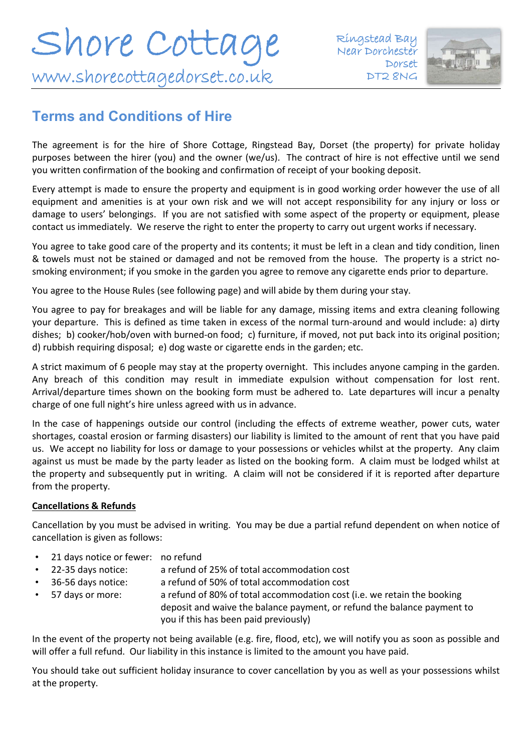

### **Terms and Conditions of Hire**

The agreement is for the hire of Shore Cottage, Ringstead Bay, Dorset (the property) for private holiday purposes between the hirer (you) and the owner (we/us).The contract of hire is not effective until we send you written confirmation of the booking and confirmation of receipt of your booking deposit.

Every attempt is made to ensure the property and equipment is in good working order however the use of all equipment and amenities is at your own risk and we will not accept responsibility for any injury or loss or damage to users' belongings. If you are not satisfied with some aspect of the property or equipment, please contact us immediately. We reserve the right to enter the property to carry out urgent works if necessary.

You agree to take good care of the property and its contents; it must be left in a clean and tidy condition, linen & towels must not be stained or damaged and not be removed from the house. The property is a strict nosmoking environment; if you smoke in the garden you agree to remove any cigarette ends prior to departure.

You agree to the House Rules (see following page) and will abide by them during your stay.

You agree to pay for breakages and will be liable for any damage, missing items and extra cleaning following your departure. This is defined as time taken in excess of the normal turn-around and would include: a) dirty dishes; b) cooker/hob/oven with burned-on food; c) furniture, if moved, not put back into its original position; d) rubbish requiring disposal; e) dog waste or cigarette ends in the garden; etc.

A strict maximum of 6 people may stay at the property overnight. This includes anyone camping in the garden. Any breach of this condition may result in immediate expulsion without compensation for lost rent. Arrival/departure times shown on the booking form must be adhered to. Late departures will incur a penalty charge of one full night's hire unless agreed with us in advance.

In the case of happenings outside our control (including the effects of extreme weather, power cuts, water shortages, coastal erosion or farming disasters) our liability is limited to the amount of rent that you have paid us. We accept no liability for loss or damage to your possessions or vehicles whilst at the property. Any claim against us must be made by the party leader as listed on the booking form. A claim must be lodged whilst at the property and subsequently put in writing. A claim will not be considered if it is reported after departure from the property.

#### **Cancellations & Refunds**

Cancellation by you must be advised in writing. You may be due a partial refund dependent on when notice of cancellation is given as follows:

- 21 days notice or fewer: no refund
- 22-35 days notice: a refund of 25% of total accommodation cost
- 36-56 days notice: a refund of 50% of total accommodation cost
- 57 days or more: a refund of 80% of total accommodation cost (i.e. we retain the booking deposit and waive the balance payment, or refund the balance payment to you if this has been paid previously)

In the event of the property not being available (e.g. fire, flood, etc), we will notify you as soon as possible and will offer a full refund. Our liability in this instance is limited to the amount you have paid.

You should take out sufficient holiday insurance to cover cancellation by you as well as your possessions whilst at the property.